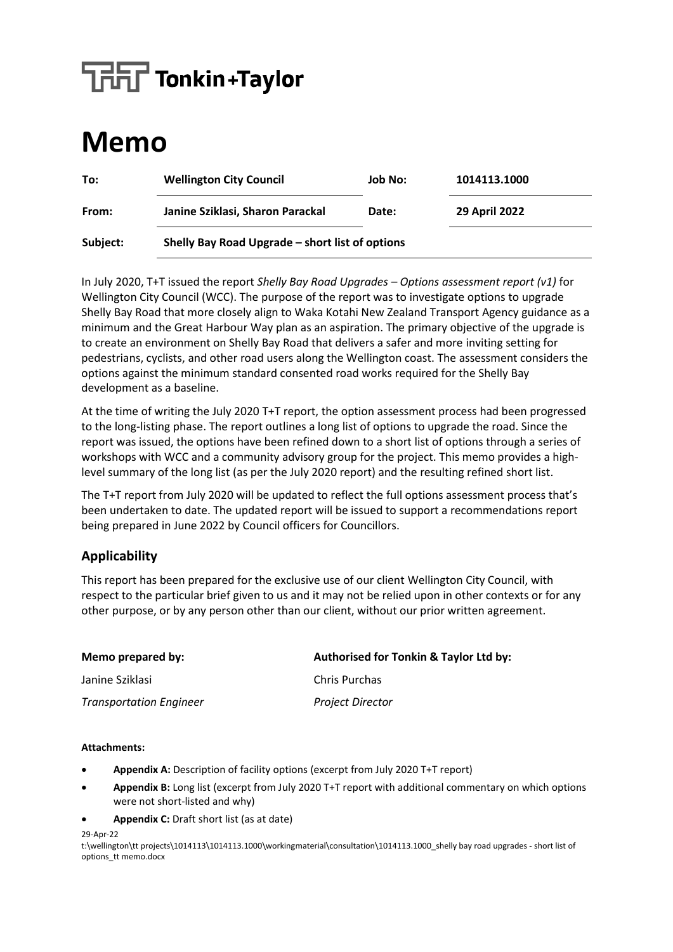# $\sqrt{\frac{1}{1-\frac{1}{\sqrt{1-\frac{1}{\sqrt{1-\frac{1}{\sqrt{1-\frac{1}{\sqrt{1-\frac{1}{\sqrt{1-\frac{1}{\sqrt{1-\frac{1}{\sqrt{1-\frac{1}{\sqrt{1-\frac{1}{\sqrt{1-\frac{1}{\sqrt{1-\frac{1}{\sqrt{1-\frac{1}{\sqrt{1-\frac{1}{\sqrt{1-\frac{1}{\sqrt{1-\frac{1}{\sqrt{1-\frac{1}{\sqrt{1-\frac{1}{\sqrt{1-\frac{1}{\sqrt{1-\frac{1}{\sqrt{1-\frac{1}{\sqrt{1-\frac{1}{\sqrt{1-\frac{1}{\sqrt{1-\frac{1}{\sqrt{1-\frac{1}{$

## **Memo**

| To:      | <b>Wellington City Council</b>                  | Job No: | 1014113.1000         |
|----------|-------------------------------------------------|---------|----------------------|
| From:    | Janine Sziklasi, Sharon Parackal                | Date:   | <b>29 April 2022</b> |
| Subject: | Shelly Bay Road Upgrade - short list of options |         |                      |

In July 2020, T+T issued the report *Shelly Bay Road Upgrades – Options assessment report (v1)* for Wellington City Council (WCC). The purpose of the report was to investigate options to upgrade Shelly Bay Road that more closely align to Waka Kotahi New Zealand Transport Agency guidance as a minimum and the Great Harbour Way plan as an aspiration. The primary objective of the upgrade is to create an environment on Shelly Bay Road that delivers a safer and more inviting setting for pedestrians, cyclists, and other road users along the Wellington coast. The assessment considers the options against the minimum standard consented road works required for the Shelly Bay development as a baseline.

At the time of writing the July 2020 T+T report, the option assessment process had been progressed to the long-listing phase. The report outlines a long list of options to upgrade the road. Since the report was issued, the options have been refined down to a short list of options through a series of workshops with WCC and a community advisory group for the project. This memo provides a highlevel summary of the long list (as per the July 2020 report) and the resulting refined short list.

The T+T report from July 2020 will be updated to reflect the full options assessment process that's been undertaken to date. The updated report will be issued to support a recommendations report being prepared in June 2022 by Council officers for Councillors.

#### **Applicability**

This report has been prepared for the exclusive use of our client Wellington City Council, with respect to the particular brief given to us and it may not be relied upon in other contexts or for any other purpose, or by any person other than our client, without our prior written agreement.

| Memo prepared by:              | Authorised for Tonkin & Taylor Ltd by: |
|--------------------------------|----------------------------------------|
| Janine Sziklasi                | <b>Chris Purchas</b>                   |
| <b>Transportation Engineer</b> | <b>Project Director</b>                |

#### **Attachments:**

- **Appendix A:** Description of facility options (excerpt from July 2020 T+T report)
- **Appendix B:** Long list (excerpt from July 2020 T+T report with additional commentary on which options were not short-listed and why)
- **Appendix C:** Draft short list (as at date)

29-Apr-22

t:\wellington\tt projects\1014113\1014113.1000\workingmaterial\consultation\1014113.1000\_shelly bay road upgrades - short list of options\_tt memo.docx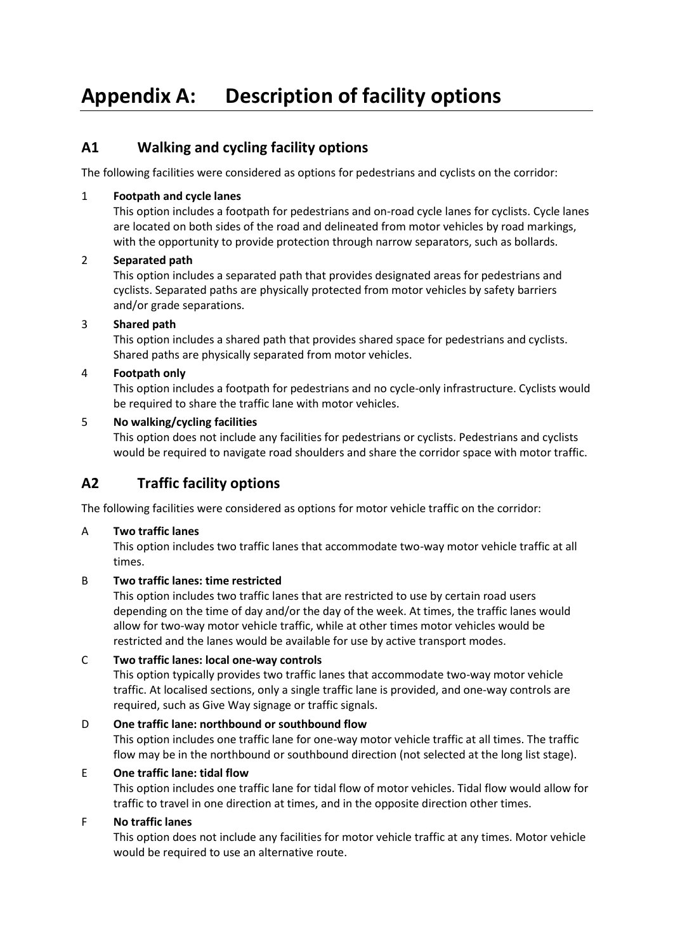## **Appendix A: Description of facility options**

#### **A1 Walking and cycling facility options**

The following facilities were considered as options for pedestrians and cyclists on the corridor:

#### 1 **Footpath and cycle lanes**

This option includes a footpath for pedestrians and on-road cycle lanes for cyclists. Cycle lanes are located on both sides of the road and delineated from motor vehicles by road markings, with the opportunity to provide protection through narrow separators, such as bollards.

#### 2 **Separated path**

This option includes a separated path that provides designated areas for pedestrians and cyclists. Separated paths are physically protected from motor vehicles by safety barriers and/or grade separations.

#### 3 **Shared path**

This option includes a shared path that provides shared space for pedestrians and cyclists. Shared paths are physically separated from motor vehicles.

#### 4 **Footpath only**

This option includes a footpath for pedestrians and no cycle-only infrastructure. Cyclists would be required to share the traffic lane with motor vehicles.

#### 5 **No walking/cycling facilities**

This option does not include any facilities for pedestrians or cyclists. Pedestrians and cyclists would be required to navigate road shoulders and share the corridor space with motor traffic.

#### **A2 Traffic facility options**

The following facilities were considered as options for motor vehicle traffic on the corridor:

#### A **Two traffic lanes**

This option includes two traffic lanes that accommodate two-way motor vehicle traffic at all times.

#### B **Two traffic lanes: time restricted**

This option includes two traffic lanes that are restricted to use by certain road users depending on the time of day and/or the day of the week. At times, the traffic lanes would allow for two-way motor vehicle traffic, while at other times motor vehicles would be restricted and the lanes would be available for use by active transport modes.

#### C **Two traffic lanes: local one-way controls**

This option typically provides two traffic lanes that accommodate two-way motor vehicle traffic. At localised sections, only a single traffic lane is provided, and one-way controls are required, such as Give Way signage or traffic signals.

#### D **One traffic lane: northbound or southbound flow**

This option includes one traffic lane for one-way motor vehicle traffic at all times. The traffic flow may be in the northbound or southbound direction (not selected at the long list stage).

#### E **One traffic lane: tidal flow**

This option includes one traffic lane for tidal flow of motor vehicles. Tidal flow would allow for traffic to travel in one direction at times, and in the opposite direction other times.

#### F **No traffic lanes**

This option does not include any facilities for motor vehicle traffic at any times. Motor vehicle would be required to use an alternative route.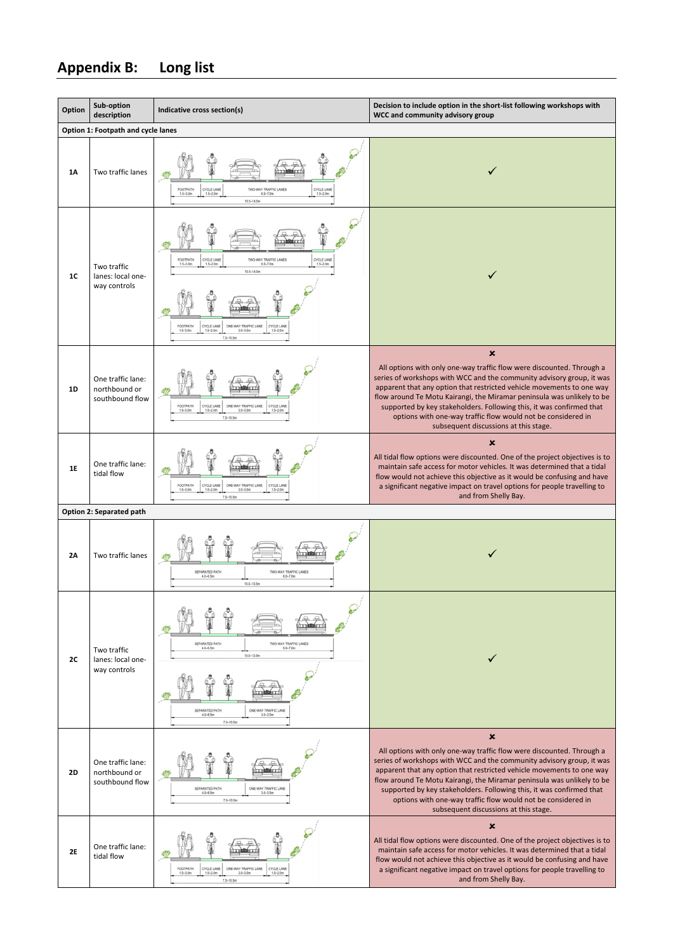## **Appendix B: Long list**

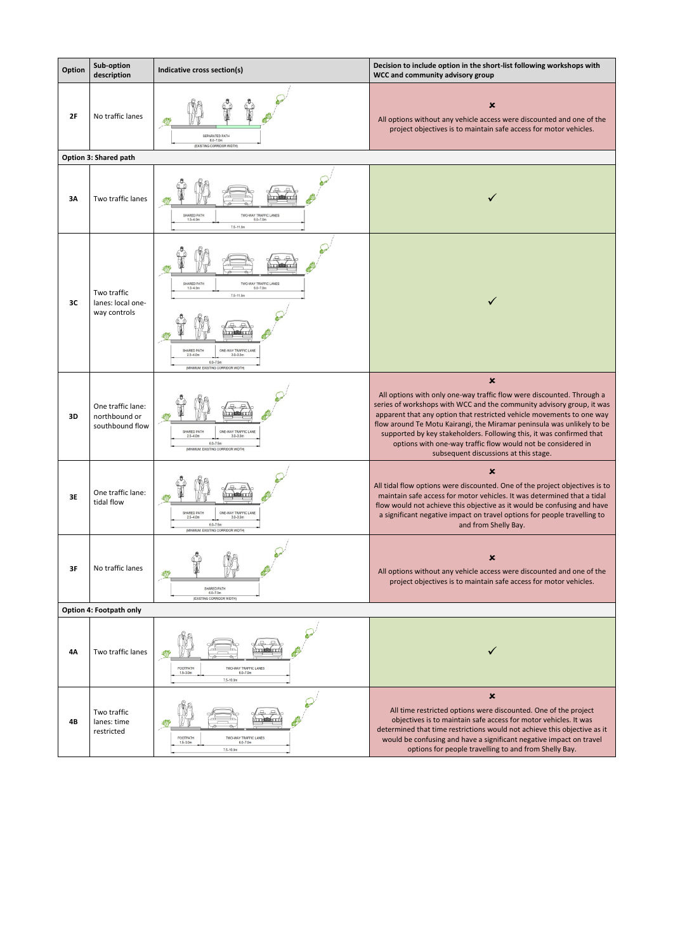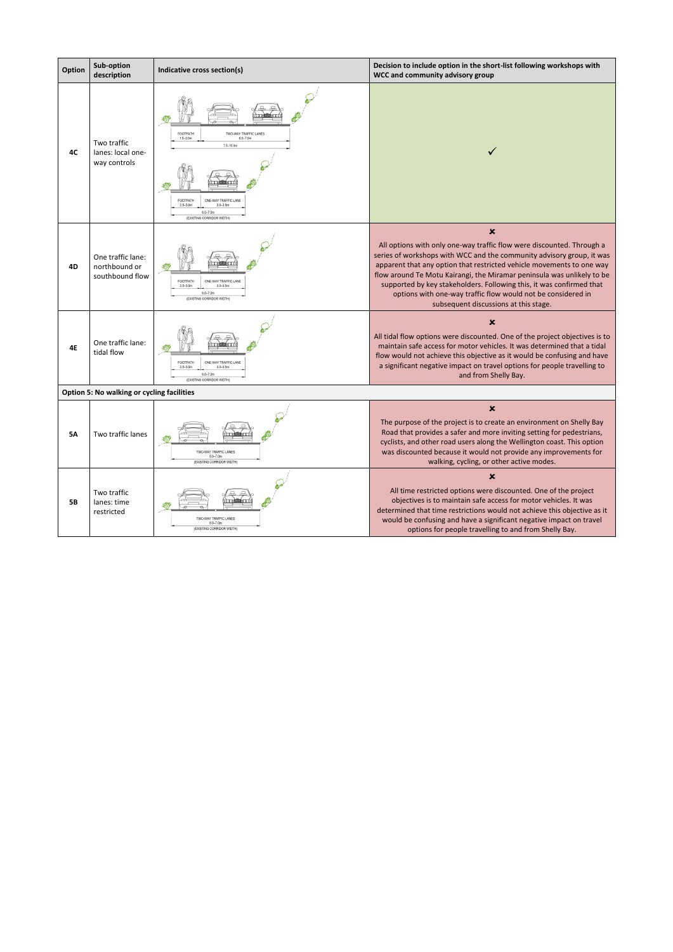